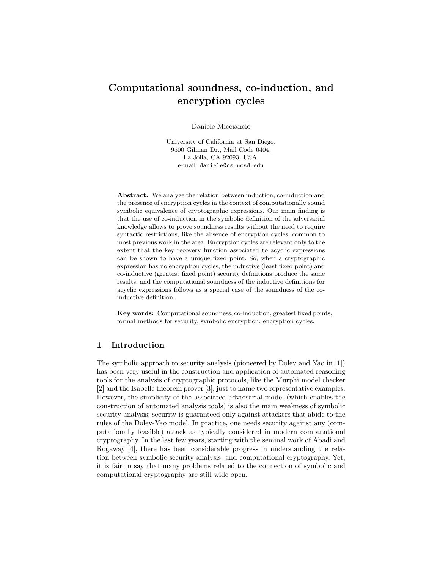# Computational soundness, co-induction, and encryption cycles

Daniele Micciancio

University of California at San Diego, 9500 Gilman Dr., Mail Code 0404, La Jolla, CA 92093, USA. e-mail: daniele@cs.ucsd.edu

Abstract. We analyze the relation between induction, co-induction and the presence of encryption cycles in the context of computationally sound symbolic equivalence of cryptographic expressions. Our main finding is that the use of co-induction in the symbolic definition of the adversarial knowledge allows to prove soundness results without the need to require syntactic restrictions, like the absence of encryption cycles, common to most previous work in the area. Encryption cycles are relevant only to the extent that the key recovery function associated to acyclic expressions can be shown to have a unique fixed point. So, when a cryptographic expression has no encryption cycles, the inductive (least fixed point) and co-inductive (greatest fixed point) security definitions produce the same results, and the computational soundness of the inductive definitions for acyclic expressions follows as a special case of the soundness of the coinductive definition.

Key words: Computational soundness, co-induction, greatest fixed points, formal methods for security, symbolic encryption, encryption cycles.

## 1 Introduction

The symbolic approach to security analysis (pioneered by Dolev and Yao in [1]) has been very useful in the construction and application of automated reasoning tools for the analysis of cryptographic protocols, like the Murphi model checker [2] and the Isabelle theorem prover [3], just to name two representative examples. However, the simplicity of the associated adversarial model (which enables the construction of automated analysis tools) is also the main weakness of symbolic security analysis: security is guaranteed only against attackers that abide to the rules of the Dolev-Yao model. In practice, one needs security against any (computationally feasible) attack as typically considered in modern computational cryptography. In the last few years, starting with the seminal work of Abadi and Rogaway [4], there has been considerable progress in understanding the relation between symbolic security analysis, and computational cryptography. Yet, it is fair to say that many problems related to the connection of symbolic and computational cryptography are still wide open.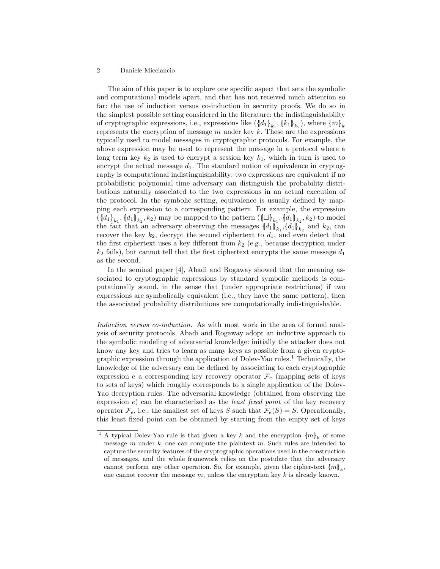The aim of this paper is to explore one specific aspect that sets the symbolic and computational models apart, and that has not received much attention so far: the use of induction versus co-induction in security proofs. We do so in the simplest possible setting considered in the literature: the indistinguishability of cryptographic expressions, i.e., expressions like  $( \{d_1\}_{k_1}, \{k_1\}_{k_2})$ , where  $\{m\}_k$ represents the encryption of message  $m$  under key  $k$ . These are the expressions typically used to model messages in cryptographic protocols. For example, the above expression may be used to represent the message in a protocol where a long term key  $k_2$  is used to encrypt a session key  $k_1$ , which in turn is used to encrypt the actual message  $d_1$ . The standard notion of equivalence in cryptography is computational indistinguishability: two expressions are equivalent if no probabilistic polynomial time adversary can distinguish the probability distributions naturally associated to the two expressions in an actual execution of the protocol. In the symbolic setting, equivalence is usually defined by mapping each expression to a corresponding pattern. For example, the expression  $({d_1}_{k_1}, {d_1}_{k_2}, k_2)$  may be mapped to the pattern  $({{\{\Box\}}}_{k_1}, {d_1}_{k_2}, k_2)$  to model the fact that an adversary observing the messages  $\{d_1\}_{k_1}, \{d_1\}_{k_2}$  and  $k_2$ , can recover the key  $k_2$ , decrypt the second ciphertext to  $d_1$ , and even detect that the first ciphertext uses a key different from  $k_2$  (e.g., because decryption under  $k_2$  fails), but cannot tell that the first ciphertext encrypts the same message  $d_1$ as the second.

In the seminal paper [4], Abadi and Rogaway showed that the meaning associated to cryptographic expressions by standard symbolic methods is computationally sound, in the sense that (under appropriate restrictions) if two expressions are symbolically equivalent (i.e., they have the same pattern), then the associated probability distributions are computationally indistinguishable.

Induction versus co-induction. As with most work in the area of formal analysis of security protocols, Abadi and Rogaway adopt an inductive approach to the symbolic modeling of adversarial knowledge: initially the attacker does not know any key and tries to learn as many keys as possible from a given cryptographic expression through the application of Dolev-Yao rules.<sup>1</sup> Technically, the knowledge of the adversary can be defined by associating to each cryptographic expression e a corresponding key recovery operator  $\mathcal{F}_e$  (mapping sets of keys to sets of keys) which roughly corresponds to a single application of the Dolev-Yao decryption rules. The adversarial knowledge (obtained from observing the expression  $e$ ) can be characterized as the *least fixed point* of the key recovery operator  $\mathcal{F}_e$ , i.e., the smallest set of keys S such that  $\mathcal{F}_e(S) = S$ . Operationally, this least fixed point can be obtained by starting from the empty set of keys

<sup>&</sup>lt;sup>1</sup> A typical Dolev-Yao rule is that given a key k and the encryption  ${m}_{k}$  of some message m under  $k$ , one can compute the plaintext m. Such rules are intended to capture the security features of the cryptographic operations used in the construction of messages, and the whole framework relies on the postulate that the adversary cannot perform any other operation. So, for example, given the cipher-text  ${m_k \choose k}$ one cannot recover the message  $m$ , unless the encryption key  $k$  is already known.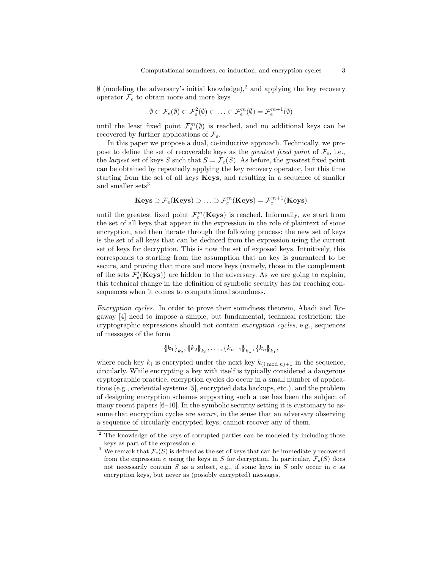$\emptyset$  (modeling the adversary's initial knowledge),<sup>2</sup> and applying the key recovery operator  $\mathcal{F}_e$  to obtain more and more keys

$$
\emptyset \subset \mathcal{F}_e(\emptyset) \subset \mathcal{F}_e^2(\emptyset) \subset \ldots \subset \mathcal{F}_e^m(\emptyset) = \mathcal{F}_e^{m+1}(\emptyset)
$$

until the least fixed point  $\mathcal{F}_e^m(\emptyset)$  is reached, and no additional keys can be recovered by further applications of  $\mathcal{F}_e$ .

In this paper we propose a dual, co-inductive approach. Technically, we propose to define the set of recoverable keys as the greatest fixed point of  $\mathcal{F}_e$ , i.e., the *largest* set of keys S such that  $S = \mathcal{F}_e(S)$ . As before, the greatest fixed point can be obtained by repeatedly applying the key recovery operator, but this time starting from the set of all keys Keys, and resulting in a sequence of smaller and smaller sets<sup>3</sup>

$$
\mathbf{Keys} \supset \mathcal{F}_e(\mathbf{Keys}) \supset \ldots \supset \mathcal{F}_e^m(\mathbf{Keys}) = \mathcal{F}_e^{m+1}(\mathbf{Keys})
$$

until the greatest fixed point  $\mathcal{F}_e^m(\mathbf{Keys})$  is reached. Informally, we start from the set of all keys that appear in the expression in the role of plaintext of some encryption, and then iterate through the following process: the new set of keys is the set of all keys that can be deduced from the expression using the current set of keys for decryption. This is now the set of exposed keys. Intuitively, this corresponds to starting from the assumption that no key is guaranteed to be secure, and proving that more and more keys (namely, those in the complement of the sets  $\mathcal{F}_e^i(\mathbf{Keys})$  are hidden to the adversary. As we are going to explain, this technical change in the definition of symbolic security has far reaching consequences when it comes to computational soundness.

Encryption cycles. In order to prove their soundness theorem, Abadi and Rogaway [4] need to impose a simple, but fundamental, technical restriction: the cryptographic expressions should not contain encryption cycles, e.g., sequences of messages of the form

$$
\{k_1\}_{k_2}, \{k_2\}_{k_3}, \ldots, \{k_{n-1}\}_{k_n}, \{k_n\}_{k_1},
$$

where each key  $k_i$  is encrypted under the next key  $k_{(i \mod n)+1}$  in the sequence, circularly. While encrypting a key with itself is typically considered a dangerous cryptographic practice, encryption cycles do occur in a small number of applications (e.g., credential systems [5], encrypted data backups, etc.), and the problem of designing encryption schemes supporting such a use has been the subject of many recent papers  $[6-10]$ . In the symbolic security setting it is customary to assume that encryption cycles are *secure*, in the sense that an adversary observing a sequence of circularly encrypted keys, cannot recover any of them.

<sup>&</sup>lt;sup>2</sup> The knowledge of the keys of corrupted parties can be modeled by including those keys as part of the expression e.

<sup>&</sup>lt;sup>3</sup> We remark that  $\mathcal{F}_e(S)$  is defined as the set of keys that can be immediately recovered from the expression e using the keys in S for decryption. In particular,  $\mathcal{F}_e(S)$  does not necessarily contain  $S$  as a subset, e.g., if some keys in  $S$  only occur in  $e$  as encryption keys, but never as (possibly encrypted) messages.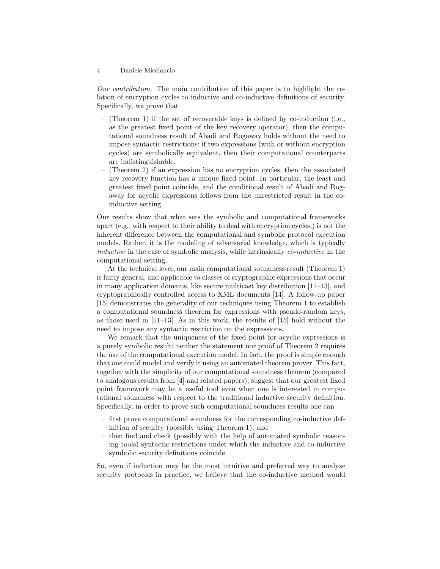Our contribution. The main contribution of this paper is to highlight the relation of encryption cycles to inductive and co-inductive definitions of security. Specifically, we prove that

- (Theorem 1) if the set of recoverable keys is defined by co-induction (i.e., as the greatest fixed point of the key recovery operator), then the computational soundness result of Abadi and Rogaway holds without the need to impose syntactic restrictions: if two expressions (with or without encryption cycles) are symbolically equivalent, then their computational counterparts are indistinguishable.
- (Theorem 2) if an expression has no encryption cycles, then the associated key recovery function has a unique fixed point. In particular, the least and greatest fixed point coincide, and the conditional result of Abadi and Rogaway for acyclic expressions follows from the unrestricted result in the coinductive setting.

Our results show that what sets the symbolic and computational frameworks apart (e.g., with respect to their ability to deal with encryption cycles,) is not the inherent difference between the computational and symbolic protocol execution models. Rather, it is the modeling of adversarial knowledge, which is typically inductive in the case of symbolic analysis, while intrinsically *co-inductive* in the computational setting.

At the technical level, our main computational soundness result (Theorem 1) is fairly general, and applicable to classes of cryptographic expressions that occur in many application domains, like secure multicast key distribution [11–13], and cryptographically controlled access to XML documents [14]. A follow-up paper [15] demonstrates the generality of our techniques using Theorem 1 to establish a computational soundness theorem for expressions with pseudo-random keys, as those used in [11–13]. As in this work, the results of [15] hold without the need to impose any syntactic restriction on the expressions.

We remark that the uniqueness of the fixed point for acyclic expressions is a purely symbolic result: neither the statement nor proof of Theorem 2 requires the use of the computational execution model. In fact, the proof is simple enough that one could model and verify it using an automated theorem prover. This fact, together with the simplicity of our computational soundness theorem (compared to analogous results from [4] and related papers), suggest that our greatest fixed point framework may be a useful tool even when one is interested in computational soundness with respect to the traditional inductive security definition. Specifically, in order to prove such computational soundness results one can

- first prove computational soundness for the corresponding co-inductive definition of security (possibly using Theorem 1), and
- then find and check (possibly with the help of automated symbolic reasoning tools) syntactic restrictions under which the inductive and co-inductive symbolic security definitions coincide.

So, even if induction may be the most intuitive and preferred way to analyze security protocols in practice, we believe that the co-inductive method would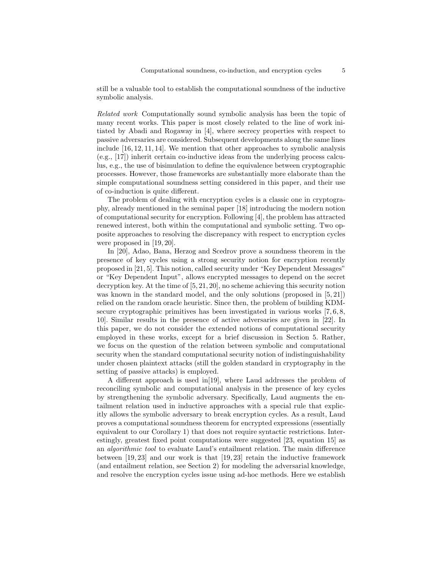still be a valuable tool to establish the computational soundness of the inductive symbolic analysis.

Related work Computationally sound symbolic analysis has been the topic of many recent works. This paper is most closely related to the line of work initiated by Abadi and Rogaway in [4], where secrecy properties with respect to passive adversaries are considered. Subsequent developments along the same lines include [16, 12, 11, 14]. We mention that other approaches to symbolic analysis (e.g., [17]) inherit certain co-inductive ideas from the underlying process calculus, e.g., the use of bisimulation to define the equivalence between cryptographic processes. However, those frameworks are substantially more elaborate than the simple computational soundness setting considered in this paper, and their use of co-induction is quite different.

The problem of dealing with encryption cycles is a classic one in cryptography, already mentioned in the seminal paper [18] introducing the modern notion of computational security for encryption. Following [4], the problem has attracted renewed interest, both within the computational and symbolic setting. Two opposite approaches to resolving the discrepancy with respect to encryption cycles were proposed in [19, 20].

In [20], Adao, Bana, Herzog and Scedrov prove a soundness theorem in the presence of key cycles using a strong security notion for encryption recently proposed in [21, 5]. This notion, called security under "Key Dependent Messages" or "Key Dependent Input", allows encrypted messages to depend on the secret decryption key. At the time of [5, 21, 20], no scheme achieving this security notion was known in the standard model, and the only solutions (proposed in [5, 21]) relied on the random oracle heuristic. Since then, the problem of building KDMsecure cryptographic primitives has been investigated in various works [7, 6, 8, 10]. Similar results in the presence of active adversaries are given in [22]. In this paper, we do not consider the extended notions of computational security employed in these works, except for a brief discussion in Section 5. Rather, we focus on the question of the relation between symbolic and computational security when the standard computational security notion of indistinguishability under chosen plaintext attacks (still the golden standard in cryptography in the setting of passive attacks) is employed.

A different approach is used in[19], where Laud addresses the problem of reconciling symbolic and computational analysis in the presence of key cycles by strengthening the symbolic adversary. Specifically, Laud augments the entailment relation used in inductive approaches with a special rule that explicitly allows the symbolic adversary to break encryption cycles. As a result, Laud proves a computational soundness theorem for encrypted expressions (essentially equivalent to our Corollary 1) that does not require syntactic restrictions. Interestingly, greatest fixed point computations were suggested [23, equation 15] as an algorithmic tool to evaluate Laud's entailment relation. The main difference between [19, 23] and our work is that [19, 23] retain the inductive framework (and entailment relation, see Section 2) for modeling the adversarial knowledge, and resolve the encryption cycles issue using ad-hoc methods. Here we establish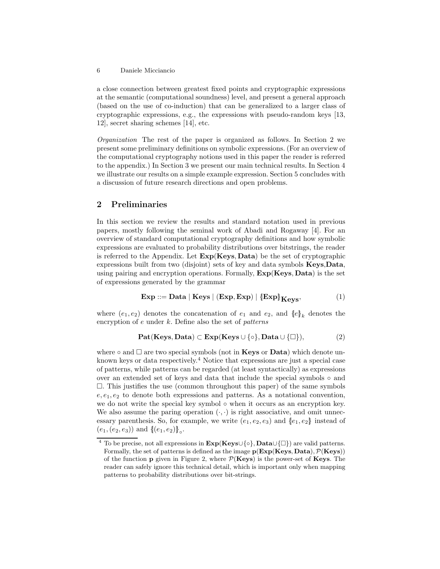a close connection between greatest fixed points and cryptographic expressions at the semantic (computational soundness) level, and present a general approach (based on the use of co-induction) that can be generalized to a larger class of cryptographic expressions, e.g., the expressions with pseudo-random keys [13, 12], secret sharing schemes [14], etc.

Organization The rest of the paper is organized as follows. In Section 2 we present some preliminary definitions on symbolic expressions. (For an overview of the computational cryptography notions used in this paper the reader is referred to the appendix.) In Section 3 we present our main technical results. In Section 4 we illustrate our results on a simple example expression. Section 5 concludes with a discussion of future research directions and open problems.

## 2 Preliminaries

In this section we review the results and standard notation used in previous papers, mostly following the seminal work of Abadi and Rogaway [4]. For an overview of standard computational cryptography definitions and how symbolic expressions are evaluated to probability distributions over bitstrings, the reader is referred to the Appendix. Let  $Exp(Keys, Data)$  be the set of cryptographic expressions built from two (disjoint) sets of key and data symbols Keys,Data, using pairing and encryption operations. Formally,  $Exp(Keys, Data)$  is the set of expressions generated by the grammar

$$
\textbf{Exp} ::= \textbf{Data} | \textbf{Keys} | (\textbf{Exp}, \textbf{Exp}) | \{ \textbf{Exp} \}_{\textbf{Keys}},
$$
 (1)

where  $(e_1, e_2)$  denotes the concatenation of  $e_1$  and  $e_2$ , and  $\{e\}_k$  denotes the encryption of  $e$  under  $k$ . Define also the set of *patterns* 

$$
Pat(Keys, Data) \subset Exp(Keys \cup \{ \circ \}, Data \cup \{ \Box \}), \tag{2}
$$

where  $\circ$  and  $\Box$  are two special symbols (not in **Keys** or **Data**) which denote unknown keys or data respectively.<sup>4</sup> Notice that expressions are just a special case of patterns, while patterns can be regarded (at least syntactically) as expressions over an extended set of keys and data that include the special symbols ◦ and  $\Box$ . This justifies the use (common throughout this paper) of the same symbols  $e, e_1, e_2$  to denote both expressions and patterns. As a notational convention, we do not write the special key symbol  $\circ$  when it occurs as an encryption key. We also assume the paring operation  $(\cdot, \cdot)$  is right associative, and omit unnecessary parenthesis. So, for example, we write  $(e_1, e_2, e_3)$  and  $\{e_1, e_2\}$  instead of  $(e_1, (e_2, e_3))$  and  $\{(e_1, e_2)\}\circ\cdot$ 

<sup>&</sup>lt;sup>4</sup> To be precise, not all expressions in  $Exp(Keys \cup \{ \circ \})$  are valid patterns. Formally, the set of patterns is defined as the image  $p(Exp(Keys, Data), P(Keys))$ of the function **p** given in Figure 2, where  $P(\text{Keys})$  is the power-set of **Keys**. The reader can safely ignore this technical detail, which is important only when mapping patterns to probability distributions over bit-strings.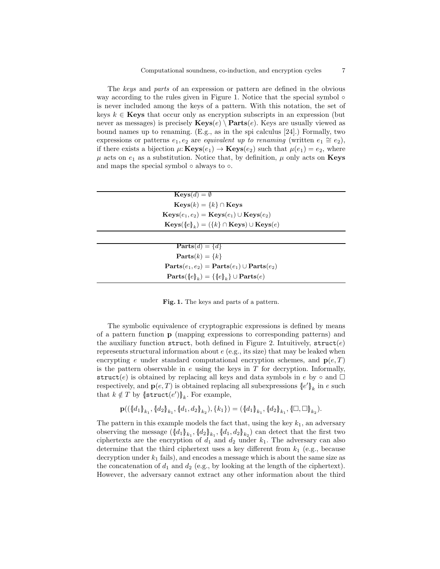The keys and parts of an expression or pattern are defined in the obvious way according to the rules given in Figure 1. Notice that the special symbol  $\circ$ is never included among the keys of a pattern. With this notation, the set of keys  $k \in \mathbf{Keys}$  that occur only as encryption subscripts in an expression (but never as messages) is precisely  $\mathbf{Keys}(e) \setminus \mathbf{Parts}(e)$ . Keys are usually viewed as bound names up to renaming. (E.g., as in the spi calculus [24].) Formally, two expressions or patterns  $e_1, e_2$  are equivalent up to renaming (written  $e_1 \cong e_2$ ), if there exists a bijection  $\mu: \textbf{Keys}(e_1) \to \textbf{Keys}(e_2)$  such that  $\mu(e_1) = e_2$ , where  $\mu$  acts on  $e_1$  as a substitution. Notice that, by definition,  $\mu$  only acts on **Keys** and maps the special symbol  $\circ$  always to  $\circ$ .

| $\mathbf{Keys}(d) = \emptyset$                                                                                |
|---------------------------------------------------------------------------------------------------------------|
| $\mathbf{Keys}(k) = \{k\} \cap \mathbf{Keys}$                                                                 |
| $\mathbf{Keys}(e_1, e_2) = \mathbf{Keys}(e_1) \cup \mathbf{Keys}(e_2)$                                        |
| $\mathbf{K}$ eys $\left(\{e\}_{k}\right) = \left(\{k\}\cap\mathbf{K}$ eys $\right) \cup \mathbf{K}$ eys $(e)$ |
|                                                                                                               |
| $\textbf{Parts}(d) = \{d\}$                                                                                   |
| $\textbf{Parts}(k) = \{k\}$                                                                                   |
| $\text{Parts}(e_1, e_2) = \text{Parts}(e_1) \cup \text{Parts}(e_2)$                                           |
| $\text{Parts}(\{e\}_k) = \{\{e\}_k\} \cup \text{Parts}(e)$                                                    |

Fig. 1. The keys and parts of a pattern.

The symbolic equivalence of cryptographic expressions is defined by means of a pattern function p (mapping expressions to corresponding patterns) and the auxiliary function struct, both defined in Figure 2. Intuitively,  $struct(e)$ represents structural information about  $e$  (e.g., its size) that may be leaked when encrypting e under standard computational encryption schemes, and  $\mathbf{p}(e,T)$ is the pattern observable in e using the keys in  $T$  for decryption. Informally, struct(e) is obtained by replacing all keys and data symbols in e by  $\circ$  and  $\square$ respectively, and  $p(e,T)$  is obtained replacing all subexpressions  $\{e'\}_k$  in e such that  $k \notin T$  by  $\{\text{struct}(e')\}_k$ . For example,

 $\mathbf{p}((\{d_1\}_{k_1}, \{d_2\}_{k_1}, \{d_1, d_2\}_{k_2}), \{k_1\}) = (\{d_1\}_{k_1}, \{d_2\}_{k_1}, \{\Box, \Box\}_{k_2}).$ 

The pattern in this example models the fact that, using the key  $k_1$ , an adversary observing the message  $(\llbracket d_1 \rrbracket_{k_1}, \llbracket d_2 \rrbracket_{k_1}, \llbracket d_1, d_2 \rrbracket_{k_2})$  can detect that the first two ciphertexts are the encryption of  $d_1$  and  $d_2$  under  $k_1$ . The adversary can also determine that the third ciphertext uses a key different from  $k_1$  (e.g., because decryption under  $k_1$  fails), and encodes a message which is about the same size as the concatenation of  $d_1$  and  $d_2$  (e.g., by looking at the length of the ciphertext). However, the adversary cannot extract any other information about the third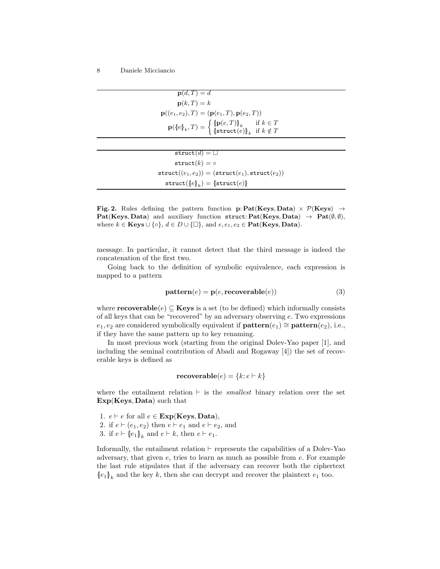$$
\mathbf{p}(d,T) = d
$$

$$
\mathbf{p}(k,T) = k
$$

$$
\mathbf{p}((e_1, e_2), T) = (\mathbf{p}(e_1, T), \mathbf{p}(e_2, T))
$$

$$
\mathbf{p}(\{e\}_k, T) = \begin{cases} {\{\mathbf{p}(e, T)\}_k & \text{if } k \in T \\ {\{\text{struct}(e)\}_k & \text{if } k \notin T \end{cases}}
$$

$$
\begin{aligned} \texttt{struct}(d) &= \Box \\ \texttt{struct}(k) &= \circ \\ \texttt{struct}((e_1, e_2)) &= (\texttt{struct}(e_1), \texttt{struct}(e_2)) \\ \texttt{struct}(\{e\}_k) &= \{\texttt{struct}(e)\} \end{aligned}
$$

Fig. 2. Rules defining the pattern function p:  $Pat(Keys, Data) \times \mathcal{P}(Keys) \rightarrow$ Pat(Keys, Data) and auxiliary function struct:  $Pat(Keys, Data) \rightarrow Pat(\emptyset, \emptyset)$ , where  $k \in \mathbf{Keys} \cup \{ \circ \}, d \in D \cup \{ \Box \}, \text{ and } e, e_1, e_2 \in \mathbf{Pat}(\mathbf{Keys}, \mathbf{Data}).$ 

message. In particular, it cannot detect that the third message is indeed the concatenation of the first two.

Going back to the definition of symbolic equivalence, each expression is mapped to a pattern

$$
pattern(e) = p(e, recoverable(e))
$$
\n(3)

where **recoverable**(e)  $\subseteq$  **Keys** is a set (to be defined) which informally consists of all keys that can be "recovered" by an adversary observing e. Two expressions  $e_1, e_2$  are considered symbolically equivalent if **pattern** $(e_1) \cong$  **pattern** $(e_2)$ , i.e., if they have the same pattern up to key renaming.

In most previous work (starting from the original Dolev-Yao paper [1], and including the seminal contribution of Abadi and Rogaway [4]) the set of recoverable keys is defined as

$$
recoverable(e) = \{k: e \vdash k\}
$$

where the entailment relation  $\vdash$  is the *smallest* binary relation over the set Exp(Keys, Data) such that

- 1.  $e \vdash e$  for all  $e \in \text{Exp}(\text{Keys}, \text{Data}),$
- 2. if  $e \vdash (e_1, e_2)$  then  $e \vdash e_1$  and  $e \vdash e_2$ , and
- 3. if  $e \vdash \{e_1\}_k$  and  $e \vdash k$ , then  $e \vdash e_1$ .

Informally, the entailment relation ⊢ represents the capabilities of a Dolev-Yao adversary, that given  $e$ , tries to learn as much as possible from  $e$ . For example the last rule stipulates that if the adversary can recover both the ciphertext  ${e_1}_k$  and the key k, then she can decrypt and recover the plaintext  $e_1$  too.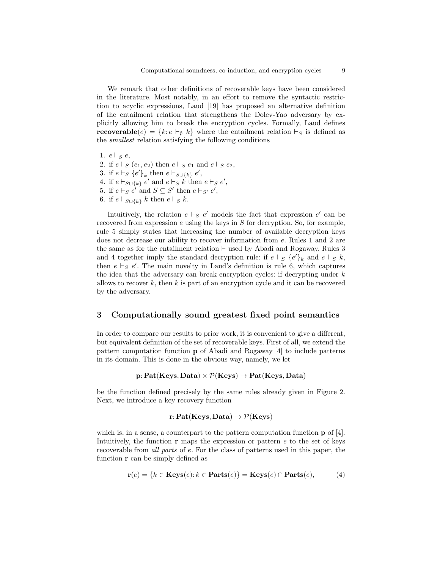We remark that other definitions of recoverable keys have been considered in the literature. Most notably, in an effort to remove the syntactic restriction to acyclic expressions, Laud [19] has proposed an alternative definition of the entailment relation that strengthens the Dolev-Yao adversary by explicitly allowing him to break the encryption cycles. Formally, Laud defines **recoverable**(e) = {k: e ⊢<sub>Ø</sub> k} where the entailment relation  $\vdash_S$  is defined as the smallest relation satisfying the following conditions

- 1.  $e \vdash_S e$ ,
- 2. if  $e \vdash_S (e_1, e_2)$  then  $e \vdash_S e_1$  and  $e \vdash_S e_2$ , 3. if  $e \vdash_S \{e'\}_k$  then  $e \vdash_{S \cup \{k\}} e'$ , 4. if  $e \vdash_{S \cup \{k\}} e'$  and  $e \vdash_S k$  then  $e \vdash_S e'$ ,
- 5. if  $e \vdash_S e'$  and  $S \subseteq S'$  then  $e \vdash_{S'} e'$ ,
- 6. if  $e \vdash_{S \cup \{k\}} k$  then  $e \vdash_S k$ .

Intuitively, the relation  $e \vdash_S e'$  models the fact that expression  $e'$  can be recovered from expression  $e$  using the keys in  $S$  for decryption. So, for example, rule 5 simply states that increasing the number of available decryption keys does not decrease our ability to recover information from e. Rules 1 and 2 are the same as for the entailment relation ⊢ used by Abadi and Rogaway. Rules 3 and 4 together imply the standard decryption rule: if  $e \vdash_S \{e'\}_k$  and  $e \vdash_S k$ , then  $e \vdash_S e'$ . The main novelty in Laud's definition is rule 6, which captures the idea that the adversary can break encryption cycles: if decrypting under k allows to recover  $k$ , then  $k$  is part of an encryption cycle and it can be recovered by the adversary.

### 3 Computationally sound greatest fixed point semantics

In order to compare our results to prior work, it is convenient to give a different, but equivalent definition of the set of recoverable keys. First of all, we extend the pattern computation function p of Abadi and Rogaway [4] to include patterns in its domain. This is done in the obvious way, namely, we let

$$
\mathbf{p} \colon \mathbf{Pat}(\mathbf{Keys}, \mathbf{Data}) \times \mathcal{P}(\mathbf{Keys}) \to \mathbf{Pat}(\mathbf{Keys}, \mathbf{Data})
$$

be the function defined precisely by the same rules already given in Figure 2. Next, we introduce a key recovery function

$$
\mathbf{r} \colon \mathbf{Pat}(\mathbf{Keys}, \mathbf{Data}) \to \mathcal{P}(\mathbf{Keys})
$$

which is, in a sense, a counterpart to the pattern computation function  $\bf{p}$  of [4]. Intuitively, the function  $\bf{r}$  maps the expression or pattern  $e$  to the set of keys recoverable from all parts of e. For the class of patterns used in this paper, the function  $\mathbf r$  can be simply defined as

$$
\mathbf{r}(e) = \{k \in \mathbf{Keys}(e) : k \in \mathbf{Parts}(e)\} = \mathbf{Keys}(e) \cap \mathbf{Parts}(e),\tag{4}
$$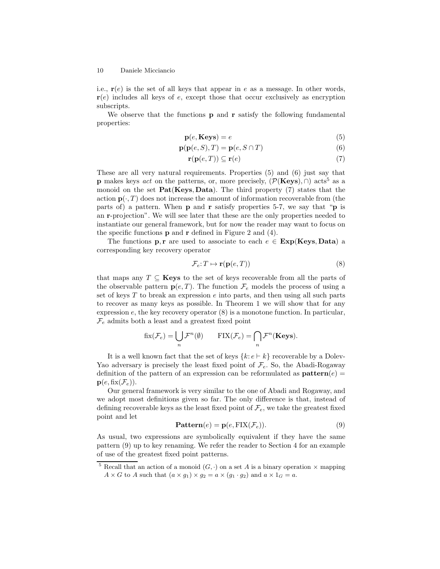i.e.,  $r(e)$  is the set of all keys that appear in e as a message. In other words,  $r(e)$  includes all keys of e, except those that occur exclusively as encryption subscripts.

We observe that the functions  $\bf{p}$  and  $\bf{r}$  satisfy the following fundamental properties:

$$
\mathbf{p}(e, \mathbf{Keys}) = e \tag{5}
$$

$$
\mathbf{p}(\mathbf{p}(e, S), T) = \mathbf{p}(e, S \cap T) \tag{6}
$$

$$
\mathbf{r}(\mathbf{p}(e,T)) \subseteq \mathbf{r}(e) \tag{7}
$$

These are all very natural requirements. Properties (5) and (6) just say that **p** makes keys *act* on the patterns, or, more precisely,  $(\mathcal{P}(\mathbf{Keys}), \cap)$  acts<sup>5</sup> as a monoid on the set  $Pat(Keys, Data)$ . The third property (7) states that the action  $p(\cdot, T)$  does not increase the amount of information recoverable from (the parts of) a pattern. When **p** and **r** satisfy properties 5-7, we say that "**p** is an r-projection". We will see later that these are the only properties needed to instantiate our general framework, but for now the reader may want to focus on the specific functions  $\bf{p}$  and  $\bf{r}$  defined in Figure 2 and (4).

The functions **p**, **r** are used to associate to each  $e \in \text{Exp}(\text{Keys}, \text{Data})$  a corresponding key recovery operator

$$
\mathcal{F}_e \colon T \mapsto \mathbf{r}(\mathbf{p}(e,T))\tag{8}
$$

that maps any  $T \subseteq \mathbf{Keys}$  to the set of keys recoverable from all the parts of the observable pattern  $p(e, T)$ . The function  $\mathcal{F}_e$  models the process of using a set of keys  $T$  to break an expression  $e$  into parts, and then using all such parts to recover as many keys as possible. In Theorem 1 we will show that for any expression  $e$ , the key recovery operator  $(8)$  is a monotone function. In particular,  $\mathcal{F}_e$  admits both a least and a greatest fixed point

$$
\mathrm{fix}(\mathcal{F}_e) = \bigcup_n \mathcal{F}^n(\emptyset) \qquad \mathrm{FIX}(\mathcal{F}_e) = \bigcap_n \mathcal{F}^n(\mathbf{Keys}).
$$

It is a well known fact that the set of keys  $\{k: e \vdash k\}$  recoverable by a Dolev-Yao adversary is precisely the least fixed point of  $\mathcal{F}_e$ . So, the Abadi-Rogaway definition of the pattern of an expression can be reformulated as  $pattern(e)$  $\mathbf{p}(e, \text{fix}(\mathcal{F}_e)).$ 

Our general framework is very similar to the one of Abadi and Rogaway, and we adopt most definitions given so far. The only difference is that, instead of defining recoverable keys as the least fixed point of  $\mathcal{F}_e$ , we take the greatest fixed point and let

$$
Pattern(e) = p(e, FIX(\mathcal{F}_e)).
$$
\n(9)

As usual, two expressions are symbolically equivalent if they have the same pattern (9) up to key renaming. We refer the reader to Section 4 for an example of use of the greatest fixed point patterns.

<sup>&</sup>lt;sup>5</sup> Recall that an action of a monoid  $(G, \cdot)$  on a set A is a binary operation  $\times$  mapping  $A \times G$  to A such that  $(a \times g_1) \times g_2 = a \times (g_1 \cdot g_2)$  and  $a \times 1_G = a$ .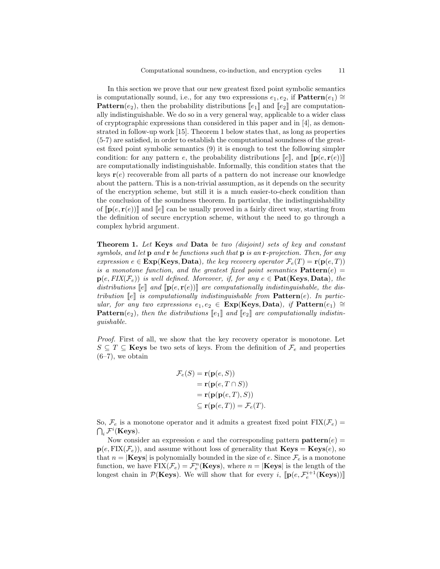In this section we prove that our new greatest fixed point symbolic semantics is computationally sound, i.e., for any two expressions  $e_1, e_2$ , if  $\textbf{Pattern}(e_1) \cong$ **Pattern**(e<sub>2</sub>), then the probability distributions  $\llbracket e_1 \rrbracket$  and  $\llbracket e_2 \rrbracket$  are computationally indistinguishable. We do so in a very general way, applicable to a wider class of cryptographic expressions than considered in this paper and in [4], as demonstrated in follow-up work [15]. Theorem 1 below states that, as long as properties (5-7) are satisfied, in order to establish the computational soundness of the greatest fixed point symbolic semantics (9) it is enough to test the following simpler condition: for any pattern e, the probability distributions  $\llbracket e \rrbracket$ , and  $\llbracket \mathbf{p}(e, \mathbf{r}(e)) \rrbracket$ are computationally indistinguishable. Informally, this condition states that the keys  $\mathbf{r}(e)$  recoverable from all parts of a pattern do not increase our knowledge about the pattern. This is a non-trivial assumption, as it depends on the security of the encryption scheme, but still it is a much easier-to-check condition than the conclusion of the soundness theorem. In particular, the indistinguishability of  $\llbracket \mathbf{p}(e, \mathbf{r}(e)) \rrbracket$  and  $\llbracket e \rrbracket$  can be usually proved in a fairly direct way, starting from the definition of secure encryption scheme, without the need to go through a complex hybrid argument.

Theorem 1. Let Keys and Data be two (disjoint) sets of key and constant symbols, and let  $p$  and  $r$  be functions such that  $p$  is an  $r$ -projection. Then, for any expression  $e \in \text{Exp}(\text{Keys}, \text{Data})$ , the key recovery operator  $\mathcal{F}_e(T) = \textbf{r}(\textbf{p}(e, T))$ is a monotone function, and the greatest fixed point semantics  $\textbf{Pattern}(e) =$  $p(e, FIX(\mathcal{F}_{e}))$  is well defined. Moreover, if, for any  $e \in \textbf{Pat}(\mathbf{Kevs}, \mathbf{Data})$ , the distributions  $\llbracket e \rrbracket$  and  $\llbracket \mathbf{p}(e, \mathbf{r}(e)) \rrbracket$  are computationally indistinguishable, the distribution  $\llbracket e \rrbracket$  is computationally indistinguishable from **Pattern** $(e)$ . In particular, for any two expressions  $e_1, e_2 \in \text{Exp}(\text{Keys}, \text{Data}), \text{ if } \text{Pattern}(e_1) \cong$ **Pattern**(e<sub>2</sub>), then the distributions  $\llbracket e_1 \rrbracket$  and  $\llbracket e_2 \rrbracket$  are computationally indistinguishable.

Proof. First of all, we show that the key recovery operator is monotone. Let  $S \subseteq T \subseteq \textbf{Keys}$  be two sets of keys. From the definition of  $\mathcal{F}_e$  and properties  $(6-7)$ , we obtain

$$
\mathcal{F}_e(S) = \mathbf{r}(\mathbf{p}(e, S))
$$
  
=  $\mathbf{r}(\mathbf{p}(e, T \cap S))$   
=  $\mathbf{r}(\mathbf{p}(\mathbf{p}(e, T), S))$   
 $\subseteq \mathbf{r}(\mathbf{p}(e, T)) = \mathcal{F}_e(T).$ 

So,  $\mathcal{F}_e$  is a monotone operator and it admits a greatest fixed point  $\text{FIX}(\mathcal{F}_e)$  =  $\bigcap_i \mathcal{F}^i(\mathbf{Keys}).$ 

Now consider an expression e and the corresponding pattern **pattern** $(e)$  =  $p(e, FIX(\mathcal{F}_e))$ , and assume without loss of generality that  $\mathbf{Keys} = \mathbf{Keys}(e)$ , so that  $n = |{\textbf{Keys}}|$  is polynomially bounded in the size of e. Since  $\mathcal{F}_e$  is a monotone function, we have  $\text{FIX}(\mathcal{F}_e) = \mathcal{F}_e^n(\mathbf{Keys})$ , where  $n = |\mathbf{Keys}|$  is the length of the longest chain in  $\mathcal{P}(\mathbf{Keys})$ . We will show that for every i,  $[\![\mathbf{p}(e, \mathcal{F}^{i+1}_e(\mathbf{Keys}))]\!]$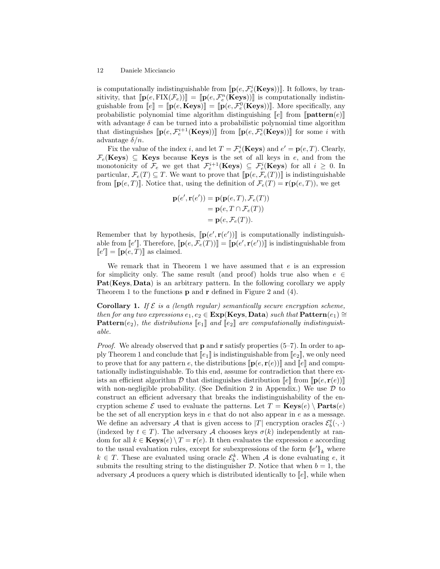is computationally indistinguishable from  $[\mathbf{p}(e, \mathcal{F}_e^i(\mathbf{Keys}))]$ . It follows, by transitivity, that  $[\![\mathbf{p}(e, \text{FIX}(\mathcal{F}_e))] \!] = [\![\mathbf{p}(e, \mathcal{F}_e^n(\mathbf{Keys})) \!] \!]$  is computationally indistinguishable from  $[\![e]\!] = [\![\mathbf{p}(e, \mathbf{Keys})]\!] = [\![\mathbf{p}(e, \mathcal{F}_e^0(\mathbf{Keys}))]\!]$ . More specifically, any probabilistic polynomial time algorithm distinguishing  $\llbracket e \rrbracket$  from  $\llbracket \mathbf{pattern}(e) \rrbracket$ with advantage  $\delta$  can be turned into a probabilistic polynomial time algorithm that distinguishes  $[\![\mathbf{p}(e,\mathcal{F}^{i+1}_e(\mathbf{Keys}))]\!]$  from  $[\![\mathbf{p}(e,\mathcal{F}^i_e(\mathbf{Keys}))]\!]$  for some i with advantage  $\delta/n$ .

Fix the value of the index i, and let  $T = \mathcal{F}_e^i(\mathbf{Keys})$  and  $e' = \mathbf{p}(e, T)$ . Clearly,  $\mathcal{F}_e$ (Keys)  $\subseteq$  Keys because Keys is the set of all keys in e, and from the monotonicity of  $\mathcal{F}_e$  we get that  $\mathcal{F}_e^{i+1}$  (Keys)  $\subseteq \mathcal{F}_e^{i}$  (Keys) for all  $i \geq 0$ . In particular,  $\mathcal{F}_e(T) \subseteq T$ . We want to prove that  $[\![\mathbf{p}(e, \mathcal{F}_e(T))] \!]$  is indistinguishable from  $\llbracket \mathbf{p}(e,T) \rrbracket$ . Notice that, using the definition of  $\mathcal{F}_e(T) = \mathbf{r}(\mathbf{p}(e,T))$ , we get

$$
\mathbf{p}(e', \mathbf{r}(e')) = \mathbf{p}(\mathbf{p}(e, T), \mathcal{F}_e(T))
$$
  
= 
$$
\mathbf{p}(e, T \cap \mathcal{F}_e(T))
$$
  
= 
$$
\mathbf{p}(e, \mathcal{F}_e(T)).
$$

Remember that by hypothesis,  $[\![\mathbf{p}(e', \mathbf{r}(e'))\!]$  is computationally indistinguishable from  $\llbracket e' \rrbracket$ . Therefore,  $\llbracket \mathbf{p}(e, \mathcal{F}_e(T)) \rrbracket = \llbracket \mathbf{p}(e', \mathbf{r}(e')) \rrbracket$  is indistinguishable from  $\llbracket e' \rrbracket = \llbracket \mathbf{p}(e,T) \rrbracket$  as claimed.

We remark that in Theorem 1 we have assumed that  $e$  is an expression for simplicity only. The same result (and proof) holds true also when  $e \in$ Pat(Keys, Data) is an arbitrary pattern. In the following corollary we apply Theorem 1 to the functions **p** and **r** defined in Figure 2 and (4).

**Corollary 1.** If  $\mathcal{E}$  is a (length regular) semantically secure encryption scheme, then for any two expressions  $e_1, e_2 \in \text{Exp}(\text{Keys}, \text{Data})$  such that  $\text{Pattern}(e_1) \cong$ **Pattern**(e<sub>2</sub>), the distributions  $\llbracket e_1 \rrbracket$  and  $\llbracket e_2 \rrbracket$  are computationally indistinguishable.

*Proof.* We already observed that  $p$  and  $r$  satisfy properties  $(5-7)$ . In order to apply Theorem 1 and conclude that  $\llbracket e_1 \rrbracket$  is indistinguishable from  $\llbracket e_2 \rrbracket$ , we only need to prove that for any pattern e, the distributions  $\llbracket \mathbf{p}(e, \mathbf{r}(e)) \rrbracket$  and  $\llbracket e \rrbracket$  and computationally indistinguishable. To this end, assume for contradiction that there exists an efficient algorithm  $\mathcal D$  that distinguishes distribution  $\llbracket e \rrbracket$  from  $\llbracket \mathbf{p}(e, \mathbf{r}(e)) \rrbracket$ with non-negligible probability. (See Definition 2 in Appendix.) We use  $\mathcal D$  to construct an efficient adversary that breaks the indistinguishability of the encryption scheme E used to evaluate the patterns. Let  $T = \text{Keys}(e) \setminus \text{Parts}(e)$ be the set of all encryption keys in e that do not also appear in e as a message. We define an adversary A that is given access to |T| encryption oracles  $\mathcal{E}_b^t(\cdot, \cdot)$ (indexed by  $t \in T$ ). The adversary A chooses keys  $\sigma(k)$  independently at random for all  $k \in \mathbf{Keys}(e) \setminus T = \mathbf{r}(e)$ . It then evaluates the expression e according to the usual evaluation rules, except for subexpressions of the form  $\{e'\}_k$  where  $k \in T$ . These are evaluated using oracle  $\mathcal{E}_{b}^{k}$ . When A is done evaluating e, it submits the resulting string to the distinguisher  $\mathcal{D}$ . Notice that when  $b = 1$ , the adversary  $A$  produces a query which is distributed identically to  $\llbracket e \rrbracket$ , while when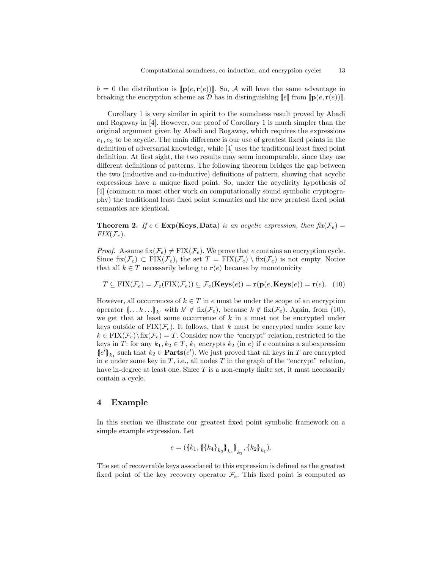$b = 0$  the distribution is  $\llbracket \mathbf{p}(e, \mathbf{r}(e)) \rrbracket$ . So, A will have the same advantage in breaking the encryption scheme as  $\mathcal D$  has in distinguishing  $\llbracket e \rrbracket$  from  $\llbracket \mathbf{p}(e, \mathbf{r}(e)) \rrbracket$ .

Corollary 1 is very similar in spirit to the soundness result proved by Abadi and Rogaway in [4]. However, our proof of Corollary 1 is much simpler than the original argument given by Abadi and Rogaway, which requires the expressions  $e_1, e_2$  to be acyclic. The main difference is our use of greatest fixed points in the definition of adversarial knowledge, while [4] uses the traditional least fixed point definition. At first sight, the two results may seem incomparable, since they use different definitions of patterns. The following theorem bridges the gap between the two (inductive and co-inductive) definitions of pattern, showing that acyclic expressions have a unique fixed point. So, under the acyclicity hypothesis of [4] (common to most other work on computationally sound symbolic cryptography) the traditional least fixed point semantics and the new greatest fixed point semantics are identical.

**Theorem 2.** If  $e \in \text{Exp}(\text{Keys}, \text{Data})$  is an acyclic expression, then  $\text{fix}(\mathcal{F}_e)$  =  $FIX(\mathcal{F}_e)$ .

*Proof.* Assume fix $(\mathcal{F}_e) \neq \text{FIX}(\mathcal{F}_e)$ . We prove that e contains an encryption cycle. Since  $fix(\mathcal{F}_e) \subset \text{FIX}(\mathcal{F}_e)$ , the set  $T = \text{FIX}(\mathcal{F}_e) \setminus fix(\mathcal{F}_e)$  is not empty. Notice that all  $k \in T$  necessarily belong to  $\mathbf{r}(e)$  because by monotonicity

$$
T \subseteq \text{FIN}(\mathcal{F}_e) = \mathcal{F}_e(\text{FIN}(\mathcal{F}_e)) \subseteq \mathcal{F}_e(\text{Keys}(e)) = \mathbf{r}(\mathbf{p}(e, \text{Keys}(e)) = \mathbf{r}(e). \quad (10)
$$

However, all occurrences of  $k \in T$  in e must be under the scope of an encryption operator  $\{\ldots k \ldots\}_{k'}$  with  $k' \notin \text{fix}(\mathcal{F}_e)$ , because  $k \notin \text{fix}(\mathcal{F}_e)$ . Again, from (10), we get that at least some occurrence of  $k$  in  $e$  must not be encrypted under keys outside of  $\text{FIN}(\mathcal{F}_e)$ . It follows, that k must be encrypted under some key  $k \in \text{FIX}(\mathcal{F}_e) \backslash \text{fix}(\mathcal{F}_e) = T$ . Consider now the "encrypt" relation, restricted to the keys in T: for any  $k_1, k_2 \in T$ ,  $k_1$  encrypts  $k_2$  (in e) if e contains a subexpression  ${e' \}_k$  such that  $k_2 \in \text{Parts}(e')$ . We just proved that all keys in T are encrypted in e under some key in  $T$ , i.e., all nodes  $T$  in the graph of the "encrypt" relation, have in-degree at least one. Since  $T$  is a non-empty finite set, it must necessarily contain a cycle.

## 4 Example

In this section we illustrate our greatest fixed point symbolic framework on a simple example expression. Let

$$
e = (\{k_1, \{\{k_4\}}_{k_3}\}_{k_4})_{k_2}, \{k_2\}_{k_1}).
$$

The set of recoverable keys associated to this expression is defined as the greatest fixed point of the key recovery operator  $\mathcal{F}_e$ . This fixed point is computed as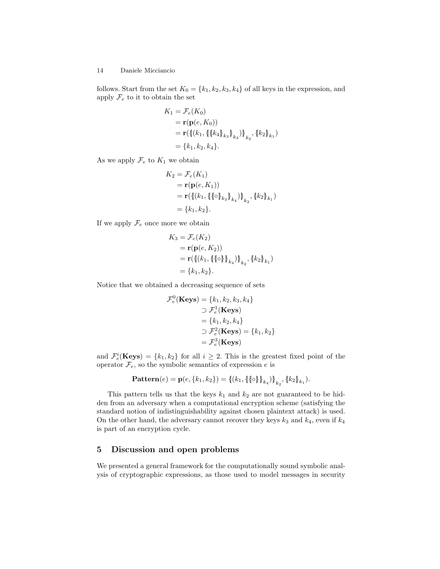follows. Start from the set  $K_0 = \{k_1, k_2, k_3, k_4\}$  of all keys in the expression, and apply  $\mathcal{F}_e$  to it to obtain the set

$$
K_1 = \mathcal{F}_e(K_0)
$$
  
=  $\mathbf{r}(\mathbf{p}(e, K_0))$   
=  $\mathbf{r}(\{(k_1, \{\{k_4\}_{k_3}\}_{k_4})\}_{k_2}, \{k_2\}_{k_1})$   
=  $\{k_1, k_2, k_4\}.$ 

As we apply  $\mathcal{F}_e$  to  $K_1$  we obtain

$$
K_2 = \mathcal{F}_e(K_1)
$$
  
=  $\mathbf{r}(\mathbf{p}(e, K_1))$   
=  $\mathbf{r}(\{(k_1, \{\{\mathbf{0}\}_{k_3}\}_{k_4})\}_{k_2}, \{k_2\}_{k_1})$   
=  $\{k_1, k_2\}.$ 

If we apply  $\mathcal{F}_e$  once more we obtain

$$
K_3 = \mathcal{F}_e(K_2)
$$
  
=  $\mathbf{r}(\mathbf{p}(e, K_2))$   
=  $\mathbf{r}(\{(k_1, \{\{\circ\}\}_{k_4})\}_{k_2}, \{k_2\}_{k_1})$   
=  $\{k_1, k_2\}.$ 

Notice that we obtained a decreasing sequence of sets

$$
\mathcal{F}_e^0(\text{Keys}) = \{k_1, k_2, k_3, k_4\}
$$
  
\n
$$
\supset \mathcal{F}_e^1(\text{Keys})
$$
  
\n
$$
= \{k_1, k_2, k_4\}
$$
  
\n
$$
\supset \mathcal{F}_e^2(\text{Keys}) = \{k_1, k_2\}
$$
  
\n
$$
= \mathcal{F}_e^3(\text{Keys})
$$

and  $\mathcal{F}_e^i(\mathbf{Keys}) = \{k_1, k_2\}$  for all  $i \geq 2$ . This is the greatest fixed point of the operator  $\mathcal{F}_e,$  so the symbolic semantics of expression  $e$  is

$$
Pattern(e) = p(e, \{k_1, k_2\}) = \{(k_1, \{\{\circ\}\}_{k_4})\}_{k_2}, \{k_2\}_{k_1}).
$$

This pattern tells us that the keys  $k_1$  and  $k_2$  are not guaranteed to be hidden from an adversary when a computational encryption scheme (satisfying the standard notion of indistinguishability against chosen plaintext attack) is used. On the other hand, the adversary cannot recover they keys  $k_3$  and  $k_4$ , even if  $k_4$ is part of an encryption cycle.

# 5 Discussion and open problems

We presented a general framework for the computationally sound symbolic analysis of cryptographic expressions, as those used to model messages in security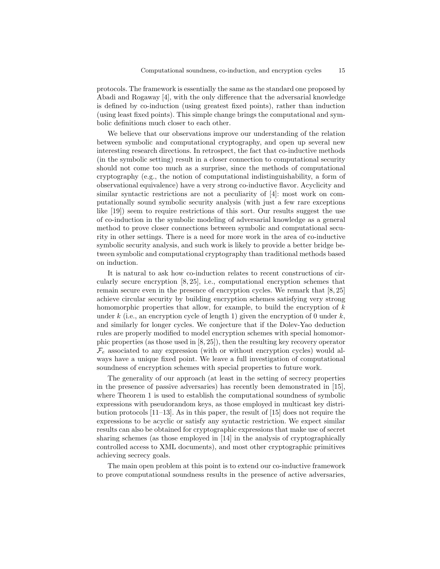protocols. The framework is essentially the same as the standard one proposed by Abadi and Rogaway [4], with the only difference that the adversarial knowledge is defined by co-induction (using greatest fixed points), rather than induction (using least fixed points). This simple change brings the computational and symbolic definitions much closer to each other.

We believe that our observations improve our understanding of the relation between symbolic and computational cryptography, and open up several new interesting research directions. In retrospect, the fact that co-inductive methods (in the symbolic setting) result in a closer connection to computational security should not come too much as a surprise, since the methods of computational cryptography (e.g., the notion of computational indistinguishability, a form of observational equivalence) have a very strong co-inductive flavor. Acyclicity and similar syntactic restrictions are not a peculiarity of [4]: most work on computationally sound symbolic security analysis (with just a few rare exceptions like [19]) seem to require restrictions of this sort. Our results suggest the use of co-induction in the symbolic modeling of adversarial knowledge as a general method to prove closer connections between symbolic and computational security in other settings. There is a need for more work in the area of co-inductive symbolic security analysis, and such work is likely to provide a better bridge between symbolic and computational cryptography than traditional methods based on induction.

It is natural to ask how co-induction relates to recent constructions of circularly secure encryption [8, 25], i.e., computational encryption schemes that remain secure even in the presence of encryption cycles. We remark that [8, 25] achieve circular security by building encryption schemes satisfying very strong homomorphic properties that allow, for example, to build the encryption of  $k$ under  $k$  (i.e., an encryption cycle of length 1) given the encryption of 0 under  $k$ , and similarly for longer cycles. We conjecture that if the Dolev-Yao deduction rules are properly modified to model encryption schemes with special homomorphic properties (as those used in [8, 25]), then the resulting key recovery operator  $\mathcal{F}_e$  associated to any expression (with or without encryption cycles) would always have a unique fixed point. We leave a full investigation of computational soundness of encryption schemes with special properties to future work.

The generality of our approach (at least in the setting of secrecy properties in the presence of passive adversaries) has recently been demonstrated in [15], where Theorem 1 is used to establish the computational soundness of symbolic expressions with pseudorandom keys, as those employed in multicast key distribution protocols [11–13]. As in this paper, the result of [15] does not require the expressions to be acyclic or satisfy any syntactic restriction. We expect similar results can also be obtained for cryptographic expressions that make use of secret sharing schemes (as those employed in [14] in the analysis of cryptographically controlled access to XML documents), and most other cryptographic primitives achieving secrecy goals.

The main open problem at this point is to extend our co-inductive framework to prove computational soundness results in the presence of active adversaries,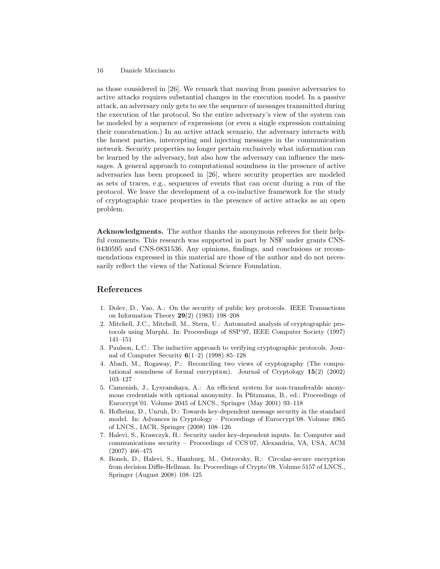as those considered in [26]. We remark that moving from passive adversaries to active attacks requires substantial changes in the execution model. In a passive attack, an adversary only gets to see the sequence of messages transmitted during the execution of the protocol. So the entire adversary's view of the system can be modeled by a sequence of expressions (or even a single expression containing their concatenation.) In an active attack scenario, the adversary interacts with the honest parties, intercepting and injecting messages in the communication network. Security properties no longer pertain exclusively what information can be learned by the adversary, but also how the adversary can influence the messages. A general approach to computational soundness in the presence of active adversaries has been proposed in [26], where security properties are modeled as sets of traces, e.g., sequences of events that can occur during a run of the protocol. We leave the development of a co-inductive framework for the study of cryptographic trace properties in the presence of active attacks as an open problem.

Acknowledgments. The author thanks the anonymous referees for their helpful comments. This research was supported in part by NSF under grants CNS-0430595 and CNS-0831536. Any opinions, findings, and conclusions or recommendations expressed in this material are those of the author and do not necessarily reflect the views of the National Science Foundation.

## References

- 1. Dolev, D., Yao, A.: On the security of public key protocols. IEEE Transactions on Information Theory 29(2) (1983) 198–208
- 2. Mitchell, J.C., Mitchell, M., Stern, U.: Automated analysis of cryptographic protocols using Murphi. In: Proceedings of SSP'97, IEEE Computer Society (1997) 141–151
- 3. Paulson, L.C.: The inductive approach to verifying cryptographic protocols. Journal of Computer Security  $6(1-2)$  (1998) 85-128
- 4. Abadi, M., Rogaway, P.: Reconciling two views of cryptography (The computational soundness of formal encryption). Journal of Cryptology 15(2) (2002) 103–127
- 5. Camenish, J., Lysyanskaya, A.: An efficient system for non-transferable anonymous credentials with optional anonymity. In Pfitzmann, B., ed.: Proceedings of Eurocrypt'01. Volume 2045 of LNCS., Springer (May 2001) 93–118
- 6. Hofheinz, D., Unruh, D.: Towards key-dependent message security in the standard model. In: Advances in Cryptology – Proceedings of Eurocrypt'08. Volume 4965 of LNCS., IACR, Springer (2008) 108–126
- 7. Halevi, S., Krawczyk, H.: Security under key-dependent inputs. In: Computer and communications security – Proceedings of CCS'07, Alexandria, VA, USA, ACM (2007) 466–475
- 8. Boneh, D., Halevi, S., Hamburg, M., Ostrovsky, R.: Circular-secure encryption from decision Diffie-Hellman. In: Proceedings of Crypto'08. Volume 5157 of LNCS., Springer (August 2008) 108–125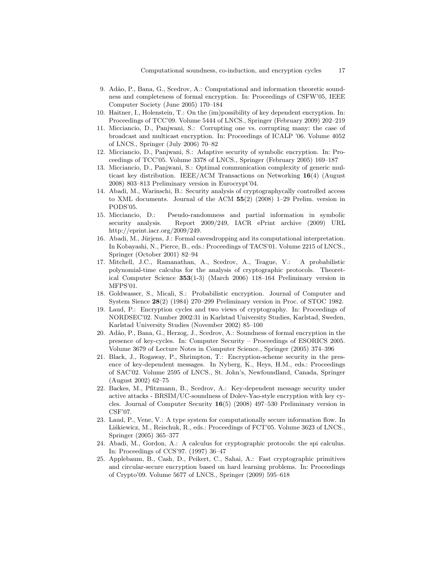- 9. Ad˜ao, P., Bana, G., Scedrov, A.: Computational and information theoretic soundness and completeness of formal encryption. In: Proceedings of CSFW'05, IEEE Computer Society (June 2005) 170–184
- 10. Haitner, I., Holenstein, T.: On the (im)possibility of key dependent encryption. In: Proceedings of TCC'09. Volume 5444 of LNCS., Springer (February 2009) 202–219
- 11. Micciancio, D., Panjwani, S.: Corrupting one vs. corrupting many: the case of broadcast and multicast encryption. In: Proceedings of ICALP '06. Volume 4052 of LNCS., Springer (July 2006) 70–82
- 12. Micciancio, D., Panjwani, S.: Adaptive security of symbolic encryption. In: Proceedings of TCC'05. Volume 3378 of LNCS., Springer (February 2005) 169–187
- 13. Micciancio, D., Panjwani, S.: Optimal communication complexity of generic multicast key distribution. IEEE/ACM Transactions on Networking 16(4) (August 2008) 803–813 Preliminary version in Eurocrypt'04.
- 14. Abadi, M., Warinschi, B.: Security analysis of cryptographycally controlled access to XML documents. Journal of the ACM 55(2) (2008) 1–29 Prelim. version in PODS'05.
- 15. Micciancio, D.: Pseudo-randomness and partial information in symbolic security analysis. Report 2009/249, IACR ePrint archive (2009) URL http://eprint.iacr.org/2009/249.
- 16. Abadi, M., Jürjens, J.: Formal eavesdropping and its computational interpretation. In Kobayashi, N., Pierce, B., eds.: Proceedings of TACS'01. Volume 2215 of LNCS., Springer (October 2001) 82–94
- 17. Mitchell, J.C., Ramanathan, A., Scedrov, A., Teague, V.: A probabilistic polynomial-time calculus for the analysis of cryptographic protocols. Theoretical Computer Science 353(1-3) (March 2006) 118–164 Preliminary version in MFPS'01.
- 18. Goldwasser, S., Micali, S.: Probabilistic encryption. Journal of Computer and System Sience 28(2) (1984) 270–299 Preliminary version in Proc. of STOC 1982.
- 19. Laud, P.: Encryption cycles and two views of cryptography. In: Proceedings of NORDSEC'02. Number 2002:31 in Karlstad University Studies, Karlstad, Sweden, Karlstad University Studies (November 2002) 85–100
- 20. Ad˜ao, P., Bana, G., Herzog, J., Scedrov, A.: Soundness of formal encryption in the presence of key-cycles. In: Computer Security – Proceedings of ESORICS 2005. Volume 3679 of Lecture Notes in Computer Science., Springer (2005) 374–396
- 21. Black, J., Rogaway, P., Shrimpton, T.: Encryption-scheme security in the presence of key-dependent messages. In Nyberg, K., Heys, H.M., eds.: Proceedings of SAC'02. Volume 2595 of LNCS., St. John's, Newfoundland, Canada, Springer (August 2002) 62–75
- 22. Backes, M., Pfitzmann, B., Scedrov, A.: Key-dependent message security under active attacks - BRSIM/UC-soundness of Dolev-Yao-style encryption with key cycles. Journal of Computer Security 16(5) (2008) 497–530 Preliminary version in CSF'07.
- 23. Laud, P., Vene, V.: A type system for computationally secure information flow. In Liskiewicz, M., Reischuk, R., eds.: Proceedings of FCT'05. Volume 3623 of LNCS., Springer (2005) 365–377
- 24. Abadi, M., Gordon, A.: A calculus for cryptographic protocols: the spi calculus. In: Proceedings of CCS'97. (1997) 36–47
- 25. Applebaum, B., Cash, D., Peikert, C., Sahai, A.: Fast cryptographic primitives and circular-secure encryption based on hard learning problems. In: Proceedings of Crypto'09. Volume 5677 of LNCS., Springer (2009) 595–618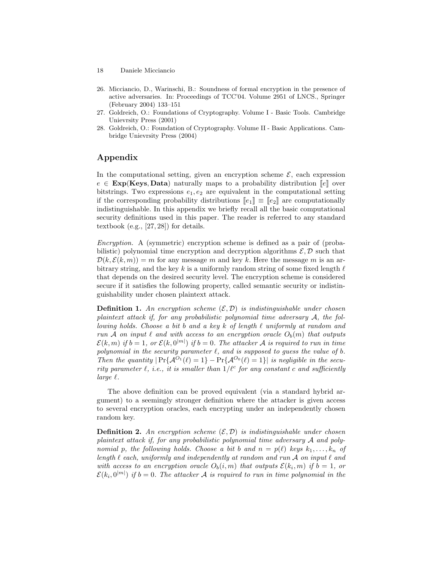- 18 Daniele Micciancio
- 26. Micciancio, D., Warinschi, B.: Soundness of formal encryption in the presence of active adversaries. In: Proceedings of TCC'04. Volume 2951 of LNCS., Springer (February 2004) 133–151
- 27. Goldreich, O.: Foundations of Cryptography. Volume I Basic Tools. Cambridge Unievrsity Press (2001)
- 28. Goldreich, O.: Foundation of Cryptography. Volume II Basic Applications. Cambridge Unievrsity Press (2004)

# Appendix

In the computational setting, given an encryption scheme  $\mathcal{E}$ , each expression  $e \in \text{Exp}(\text{Keys}, \text{Data})$  naturally maps to a probability distribution  $\llbracket e \rrbracket$  over bitstrings. Two expressions  $e_1, e_2$  are equivalent in the computational setting if the corresponding probability distributions  $\llbracket e_1 \rrbracket \equiv \llbracket e_2 \rrbracket$  are computationally indistinguishable. In this appendix we briefly recall all the basic computational security definitions used in this paper. The reader is referred to any standard textbook (e.g., [27, 28]) for details.

Encryption. A (symmetric) encryption scheme is defined as a pair of (probabilistic) polynomial time encryption and decryption algorithms  $\mathcal{E}, \mathcal{D}$  such that  $\mathcal{D}(k,\mathcal{E}(k,m)) = m$  for any message m and key k. Here the message m is an arbitrary string, and the key k is a uniformly random string of some fixed length  $\ell$ that depends on the desired security level. The encryption scheme is considered secure if it satisfies the following property, called semantic security or indistinguishability under chosen plaintext attack.

**Definition 1.** An encryption scheme  $(\mathcal{E}, \mathcal{D})$  is indistinguishable under chosen plaintext attack if, for any probabilistic polynomial time adversary A, the following holds. Choose a bit b and a key k of length  $\ell$  uniformly at random and run A on input  $\ell$  and with access to an encryption oracle  $O_b(m)$  that outputs  $\mathcal{E}(k,m)$  if  $b=1$ , or  $\mathcal{E}(k,0^{|m|})$  if  $b=0$ . The attacker A is required to run in time polynomial in the security parameter  $\ell$ , and is supposed to guess the value of b. Then the quantity  $|\Pr{\mathcal{A}^{O_1}(\ell)}=1\rangle - \Pr{\mathcal{A}^{O_0}(\ell)}=1\rangle$  is negligible in the security parameter  $\ell$ , i.e., it is smaller than  $1/\ell^c$  for any constant c and sufficiently  $large \ell.$ 

The above definition can be proved equivalent (via a standard hybrid argument) to a seemingly stronger definition where the attacker is given access to several encryption oracles, each encrypting under an independently chosen random key.

**Definition 2.** An encryption scheme  $(\mathcal{E}, \mathcal{D})$  is indistinguishable under chosen plaintext attack if, for any probabilistic polynomial time adversary A and polynomial p, the following holds. Choose a bit b and  $n = p(\ell)$  keys  $k_1, \ldots, k_n$  of length  $\ell$  each, uniformly and independently at random and run A on input  $\ell$  and with access to an encryption oracle  $O_b(i,m)$  that outputs  $\mathcal{E}(k_i,m)$  if  $b=1$ , or  $\mathcal{E}(k_i, 0^{|m|})$  if  $b = 0$ . The attacker A is required to run in time polynomial in the